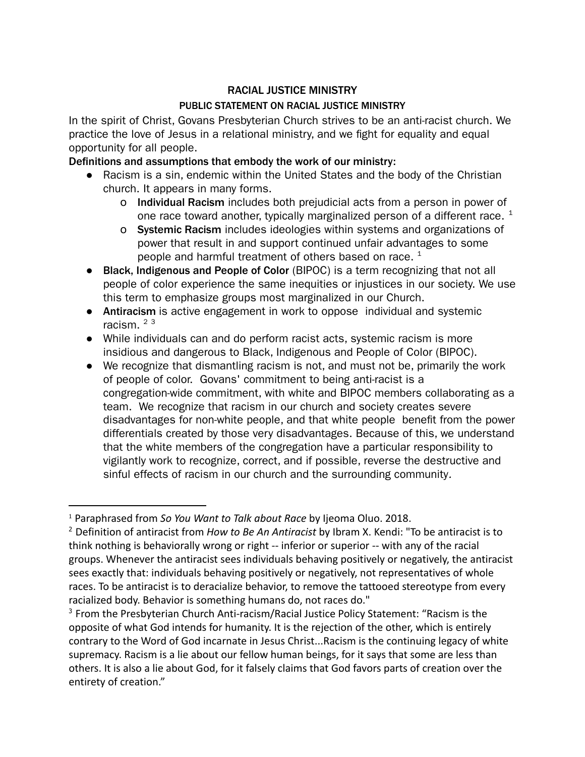## RACIAL JUSTICE MINISTRY

## PUBLIC STATEMENT ON RACIAL JUSTICE MINISTRY

In the spirit of Christ, Govans Presbyterian Church strives to be an anti-racist church. We practice the love of Jesus in a relational ministry, and we fight for equality and equal opportunity for all people.

## Definitions and assumptions that embody the work of our ministry:

- Racism is a sin, endemic within the United States and the body of the Christian church. It appears in many forms.
	- o Individual Racism includes both prejudicial acts from a person in power of one race toward another, typically marginalized person of a different race.  $^{\text{1}}$
	- o Systemic Racism includes ideologies within systems and organizations of power that result in and support continued unfair advantages to some people and harmful treatment of others based on race.  $^1$
- Black, Indigenous and People of Color (BIPOC) is a term recognizing that not all people of color experience the same inequities or injustices in our society. We use this term to emphasize groups most marginalized in our Church.
- Antiracism is active engagement in work to oppose individual and systemic racism. 2 3
- While individuals can and do perform racist acts, systemic racism is more insidious and dangerous to Black, Indigenous and People of Color (BIPOC).
- We recognize that dismantling racism is not, and must not be, primarily the work of people of color. Govans' commitment to being anti-racist is a congregation-wide commitment, with white and BIPOC members collaborating as a team. We recognize that racism in our church and society creates severe disadvantages for non-white people, and that white people benefit from the power differentials created by those very disadvantages. Because of this, we understand that the white members of the congregation have a particular responsibility to vigilantly work to recognize, correct, and if possible, reverse the destructive and sinful effects of racism in our church and the surrounding community.

<sup>1</sup> Paraphrased from *So You Want to Talk about Race* by Ijeoma Oluo. 2018.

<sup>2</sup> Definition of antiracist from *How to Be An Antiracist* by Ibram X. Kendi: "To be antiracist is to think nothing is behaviorally wrong or right -- inferior or superior -- with any of the racial groups. Whenever the antiracist sees individuals behaving positively or negatively, the antiracist sees exactly that: individuals behaving positively or negatively, not representatives of whole races. To be antiracist is to deracialize behavior, to remove the tattooed stereotype from every racialized body. Behavior is something humans do, not races do."

<sup>&</sup>lt;sup>3</sup> From the Presbyterian Church Anti-racism/Racial Justice Policy Statement: "Racism is the opposite of what God intends for humanity. It is the rejection of the other, which is entirely contrary to the Word of God incarnate in Jesus Christ...Racism is the continuing legacy of white supremacy. Racism is a lie about our fellow human beings, for it says that some are less than others. It is also a lie about God, for it falsely claims that God favors parts of creation over the entirety of creation."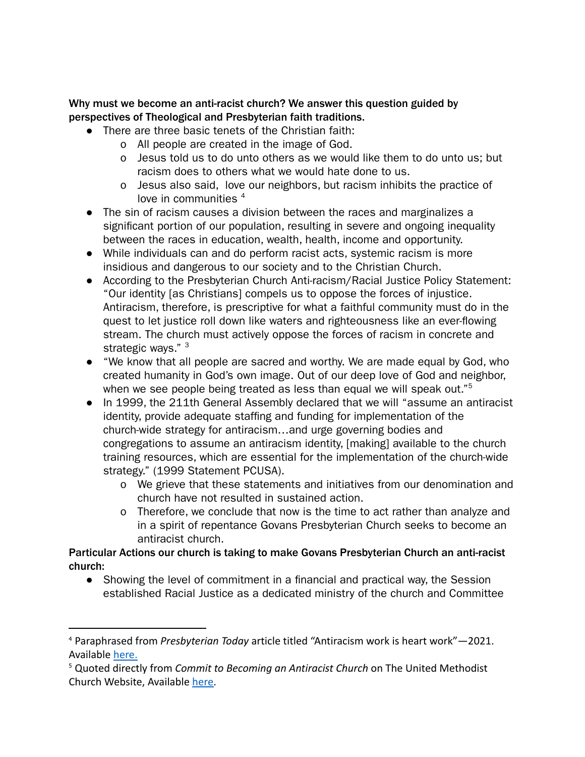Why must we become an anti-racist church? We answer this question guided by perspectives of Theological and Presbyterian faith traditions.

- There are three basic tenets of the Christian faith:
	- o All people are created in the image of God.
	- o Jesus told us to do unto others as we would like them to do unto us; but racism does to others what we would hate done to us.
	- o Jesus also said, love our neighbors, but racism inhibits the practice of love in communities <sup>4</sup>
- The sin of racism causes a division between the races and marginalizes a significant portion of our population, resulting in severe and ongoing inequality between the races in education, wealth, health, income and opportunity.
- While individuals can and do perform racist acts, systemic racism is more insidious and dangerous to our society and to the Christian Church.
- According to the Presbyterian Church Anti-racism/Racial Justice Policy Statement: "Our identity [as Christians] compels us to oppose the forces of injustice. Antiracism, therefore, is prescriptive for what a faithful community must do in the quest to let justice roll down like waters and righteousness like an ever-flowing stream. The church must actively oppose the forces of racism in concrete and strategic ways." <sup>3</sup>
- "We know that all people are sacred and worthy. We are made equal by God, who created humanity in God's own image. Out of our deep love of God and neighbor, when we see people being treated as less than equal we will speak out." $^5$
- In 1999, the 211th General Assembly declared that we will "assume an antiracist identity, provide adequate staffing and funding for implementation of the church-wide strategy for antiracism…and urge governing bodies and congregations to assume an antiracism identity, [making] available to the church training resources, which are essential for the implementation of the church-wide strategy." (1999 Statement PCUSA).
	- o We grieve that these statements and initiatives from our denomination and church have not resulted in sustained action.
	- o Therefore, we conclude that now is the time to act rather than analyze and in a spirit of repentance Govans Presbyterian Church seeks to become an antiracist church.

Particular Actions our church is taking to make Govans Presbyterian Church an anti-racist church:

● Showing the level of commitment in a financial and practical way, the Session established Racial Justice as a dedicated ministry of the church and Committee

<sup>4</sup> Paraphrased from *Presbyterian Today* article titled "Antiracism work is heart work"—2021. Available [here.](https://www.presbyterianmission.org/story/pt-0921-anti-racism/)

<sup>5</sup> Quoted directly from *Commit to Becoming an Antiracist Church* on The United Methodist Church Website, Available [here.](https://www.bwcumc.org/ministries/advocacy-action/racial-justice/commit-to-becoming-an-antiracist-church/)